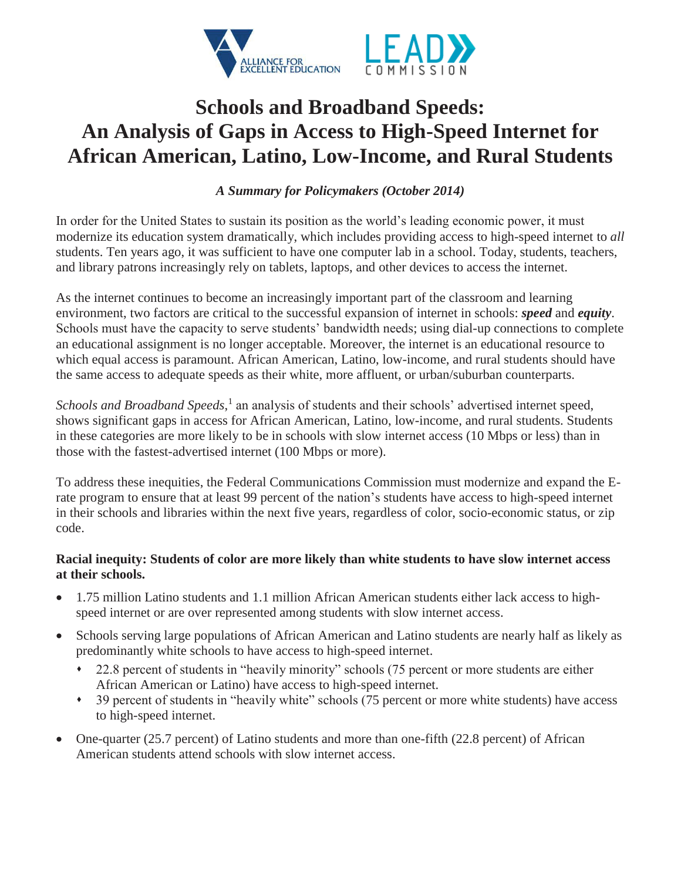

# **Schools and Broadband Speeds: An Analysis of Gaps in Access to High-Speed Internet for African American, Latino, Low-Income, and Rural Students**

*A Summary for Policymakers (October 2014)* 

In order for the United States to sustain its position as the world's leading economic power, it must modernize its education system dramatically, which includes providing access to high-speed internet to *all* students. Ten years ago, it was sufficient to have one computer lab in a school. Today, students, teachers, and library patrons increasingly rely on tablets, laptops, and other devices to access the internet.

As the internet continues to become an increasingly important part of the classroom and learning environment, two factors are critical to the successful expansion of internet in schools: *speed* and *equity*. Schools must have the capacity to serve students' bandwidth needs; using dial-up connections to complete an educational assignment is no longer acceptable. Moreover, the internet is an educational resource to which equal access is paramount. African American, Latino, low-income, and rural students should have the same access to adequate speeds as their white, more affluent, or urban/suburban counterparts.

*Schools and Broadband Speeds*, <sup>1</sup> an analysis of students and their schools' advertised internet speed, shows significant gaps in access for African American, Latino, low-income, and rural students. Students in these categories are more likely to be in schools with slow internet access (10 Mbps or less) than in those with the fastest-advertised internet (100 Mbps or more).

To address these inequities, the Federal Communications Commission must modernize and expand the Erate program to ensure that at least 99 percent of the nation's students have access to high-speed internet in their schools and libraries within the next five years, regardless of color, socio-economic status, or zip code.

## **Racial inequity: Students of color are more likely than white students to have slow internet access at their schools.**

- 1.75 million Latino students and 1.1 million African American students either lack access to highspeed internet or are over represented among students with slow internet access.
- Schools serving large populations of African American and Latino students are nearly half as likely as predominantly white schools to have access to high-speed internet.
	- 22.8 percent of students in "heavily minority" schools (75 percent or more students are either African American or Latino) have access to high-speed internet.
	- 39 percent of students in "heavily white" schools (75 percent or more white students) have access to high-speed internet.
- One-quarter (25.7 percent) of Latino students and more than one-fifth (22.8 percent) of African American students attend schools with slow internet access.